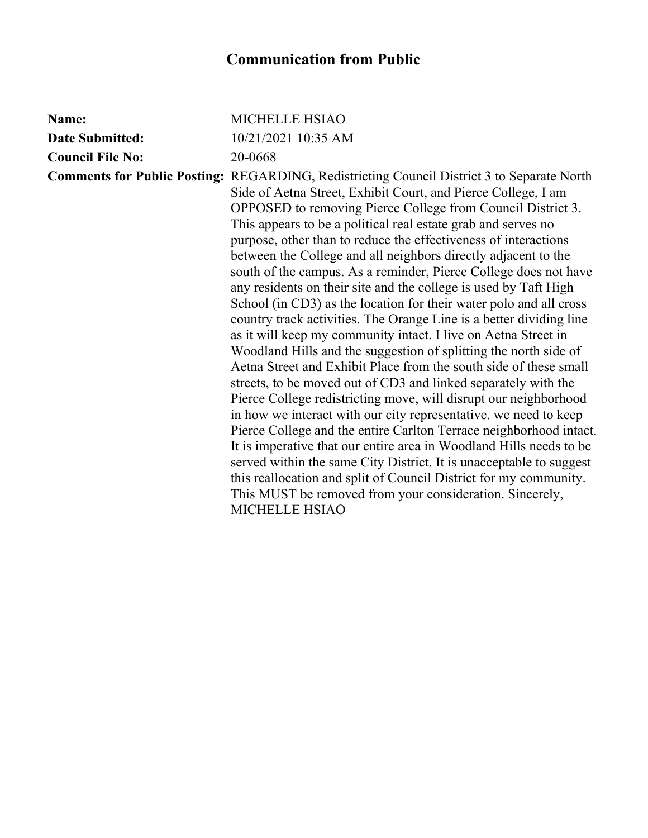| Name:                   | MICHELLE HSIAO                                                                                                                                                                                                                                                                                                                                                                                                                                                                                                                                                                                                                                                                                                                                                                                                                                                                                                                                                                                                                                                                                                                                                                                                                                                                                                                                                                                                                                                                                                                  |
|-------------------------|---------------------------------------------------------------------------------------------------------------------------------------------------------------------------------------------------------------------------------------------------------------------------------------------------------------------------------------------------------------------------------------------------------------------------------------------------------------------------------------------------------------------------------------------------------------------------------------------------------------------------------------------------------------------------------------------------------------------------------------------------------------------------------------------------------------------------------------------------------------------------------------------------------------------------------------------------------------------------------------------------------------------------------------------------------------------------------------------------------------------------------------------------------------------------------------------------------------------------------------------------------------------------------------------------------------------------------------------------------------------------------------------------------------------------------------------------------------------------------------------------------------------------------|
| <b>Date Submitted:</b>  | 10/21/2021 10:35 AM                                                                                                                                                                                                                                                                                                                                                                                                                                                                                                                                                                                                                                                                                                                                                                                                                                                                                                                                                                                                                                                                                                                                                                                                                                                                                                                                                                                                                                                                                                             |
| <b>Council File No:</b> | 20-0668                                                                                                                                                                                                                                                                                                                                                                                                                                                                                                                                                                                                                                                                                                                                                                                                                                                                                                                                                                                                                                                                                                                                                                                                                                                                                                                                                                                                                                                                                                                         |
|                         | <b>Comments for Public Posting: REGARDING, Redistricting Council District 3 to Separate North</b><br>Side of Aetna Street, Exhibit Court, and Pierce College, I am<br>OPPOSED to removing Pierce College from Council District 3.<br>This appears to be a political real estate grab and serves no<br>purpose, other than to reduce the effectiveness of interactions<br>between the College and all neighbors directly adjacent to the<br>south of the campus. As a reminder, Pierce College does not have<br>any residents on their site and the college is used by Taft High<br>School (in CD3) as the location for their water polo and all cross<br>country track activities. The Orange Line is a better dividing line<br>as it will keep my community intact. I live on Aetna Street in<br>Woodland Hills and the suggestion of splitting the north side of<br>Aetna Street and Exhibit Place from the south side of these small<br>streets, to be moved out of CD3 and linked separately with the<br>Pierce College redistricting move, will disrupt our neighborhood<br>in how we interact with our city representative, we need to keep<br>Pierce College and the entire Carlton Terrace neighborhood intact.<br>It is imperative that our entire area in Woodland Hills needs to be<br>served within the same City District. It is unacceptable to suggest<br>this reallocation and split of Council District for my community.<br>This MUST be removed from your consideration. Sincerely,<br><b>MICHELLE HSIAO</b> |